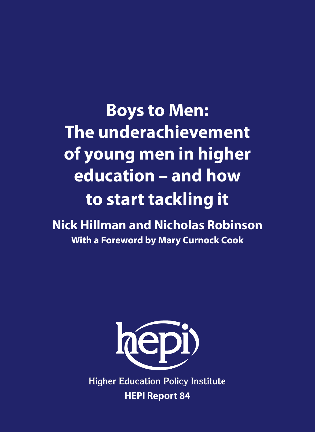**Boys to Men: The underachievement of young men in higher education – and how to start tackling it**

**Nick Hillman and Nicholas Robinson With a Foreword by Mary Curnock Cook** 



**Higher Education Policy Institute HEPI Report 84**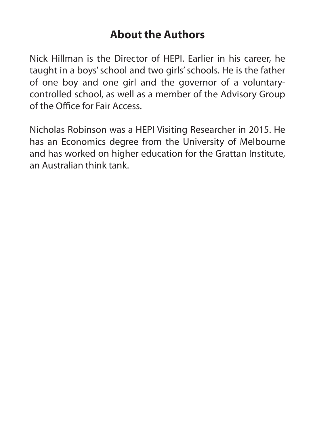# **About the Authors**

Nick Hillman is the Director of HEPI. Earlier in his career, he taught in a boys' school and two girls' schools. He is the father of one boy and one girl and the governor of a voluntarycontrolled school, as well as a member of the Advisory Group of the Office for Fair Access.

Nicholas Robinson was a HEPI Visiting Researcher in 2015. He has an Economics degree from the University of Melbourne and has worked on higher education for the Grattan Institute, an Australian think tank.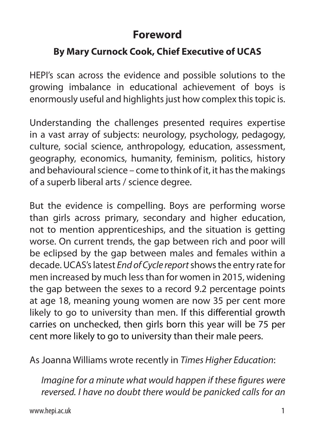# **Foreword**

# **By Mary Curnock Cook, Chief Executive of UCAS**

HEPI's scan across the evidence and possible solutions to the growing imbalance in educational achievement of boys is enormously useful and highlights just how complex this topic is.

Understanding the challenges presented requires expertise in a vast array of subjects: neurology, psychology, pedagogy, culture, social science, anthropology, education, assessment, geography, economics, humanity, feminism, politics, history and behavioural science – come to think of it, it has the makings of a superb liberal arts / science degree.

But the evidence is compelling. Boys are performing worse than girls across primary, secondary and higher education, not to mention apprenticeships, and the situation is getting worse. On current trends, the gap between rich and poor will be eclipsed by the gap between males and females within a decade. UCAS's latest *End of Cycle report* shows the entry rate for men increased by much less than for women in 2015, widening the gap between the sexes to a record 9.2 percentage points at age 18, meaning young women are now 35 per cent more likely to go to university than men. If this differential growth carries on unchecked, then girls born this year will be 75 per cent more likely to go to university than their male peers.

As Joanna Williams wrote recently in *Times Higher Education*:

*Imagine for a minute what would happen if these figures were reversed. I have no doubt there would be panicked calls for an*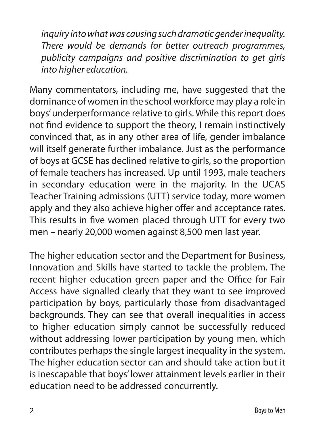*inquiry into what was causing such dramatic gender inequality. There would be demands for better outreach programmes, publicity campaigns and positive discrimination to get girls into higher education.*

Many commentators, including me, have suggested that the dominance of women in the school workforce may play a role in boys' underperformance relative to girls. While this report does not find evidence to support the theory, I remain instinctively convinced that, as in any other area of life, gender imbalance will itself generate further imbalance. Just as the performance of boys at GCSE has declined relative to girls, so the proportion of female teachers has increased. Up until 1993, male teachers in secondary education were in the majority. In the UCAS Teacher Training admissions (UTT) service today, more women apply and they also achieve higher offer and acceptance rates. This results in five women placed through UTT for every two men – nearly 20,000 women against 8,500 men last year.

The higher education sector and the Department for Business, Innovation and Skills have started to tackle the problem. The recent higher education green paper and the Office for Fair Access have signalled clearly that they want to see improved participation by boys, particularly those from disadvantaged backgrounds. They can see that overall inequalities in access to higher education simply cannot be successfully reduced without addressing lower participation by young men, which contributes perhaps the single largest inequality in the system. The higher education sector can and should take action but it is inescapable that boys' lower attainment levels earlier in their education need to be addressed concurrently.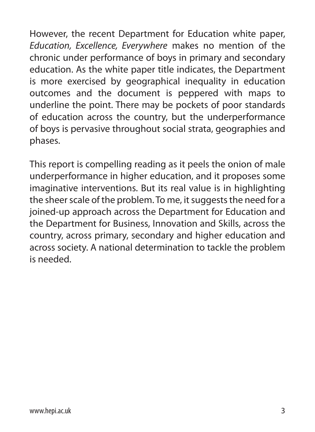However, the recent Department for Education white paper, *Education, Excellence, Everywhere* makes no mention of the chronic under performance of boys in primary and secondary education. As the white paper title indicates, the Department is more exercised by geographical inequality in education outcomes and the document is peppered with maps to underline the point. There may be pockets of poor standards of education across the country, but the underperformance of boys is pervasive throughout social strata, geographies and phases.

This report is compelling reading as it peels the onion of male underperformance in higher education, and it proposes some imaginative interventions. But its real value is in highlighting the sheer scale of the problem. To me, it suggests the need for a joined-up approach across the Department for Education and the Department for Business, Innovation and Skills, across the country, across primary, secondary and higher education and across society. A national determination to tackle the problem is needed.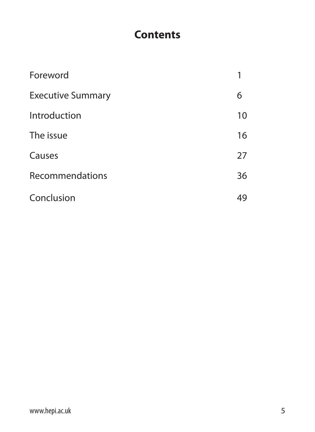# **Contents**

| Foreword                 |    |
|--------------------------|----|
| <b>Executive Summary</b> | 6  |
| Introduction             | 10 |
| The issue                | 16 |
| Causes                   | 27 |
| Recommendations          | 36 |
| Conclusion               | 49 |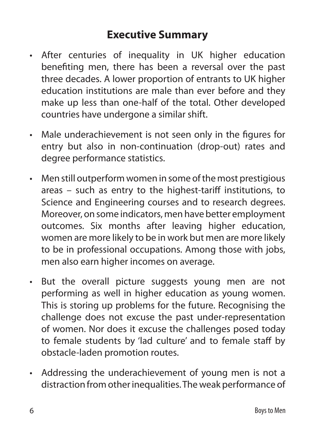# **Executive Summary**

- After centuries of inequality in UK higher education benefiting men, there has been a reversal over the past three decades. A lower proportion of entrants to UK higher education institutions are male than ever before and they make up less than one-half of the total. Other developed countries have undergone a similar shift.
- Male underachievement is not seen only in the figures for entry but also in non-continuation (drop-out) rates and degree performance statistics.
- Men still outperform women in some of the most prestigious areas – such as entry to the highest-tariff institutions, to Science and Engineering courses and to research degrees. Moreover, on some indicators, men have better employment outcomes. Six months after leaving higher education, women are more likely to be in work but men are more likely to be in professional occupations. Among those with jobs, men also earn higher incomes on average.
- But the overall picture suggests young men are not performing as well in higher education as young women. This is storing up problems for the future. Recognising the challenge does not excuse the past under-representation of women. Nor does it excuse the challenges posed today to female students by 'lad culture' and to female staff by obstacle-laden promotion routes.
- Addressing the underachievement of young men is not a distraction from other inequalities. The weak performance of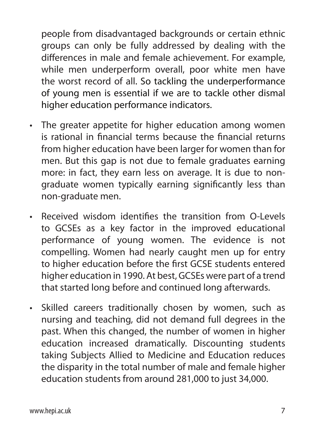people from disadvantaged backgrounds or certain ethnic groups can only be fully addressed by dealing with the differences in male and female achievement. For example, while men underperform overall, poor white men have the worst record of all. So tackling the underperformance of young men is essential if we are to tackle other dismal higher education performance indicators.

- The greater appetite for higher education among women is rational in financial terms because the financial returns from higher education have been larger for women than for men. But this gap is not due to female graduates earning more: in fact, they earn less on average. It is due to nongraduate women typically earning significantly less than non-graduate men.
- Received wisdom identifies the transition from O-Levels to GCSEs as a key factor in the improved educational performance of young women. The evidence is not compelling. Women had nearly caught men up for entry to higher education before the first GCSE students entered higher education in 1990. At best, GCSEs were part of a trend that started long before and continued long afterwards.
- Skilled careers traditionally chosen by women, such as nursing and teaching, did not demand full degrees in the past. When this changed, the number of women in higher education increased dramatically. Discounting students taking Subjects Allied to Medicine and Education reduces the disparity in the total number of male and female higher education students from around 281,000 to just 34,000.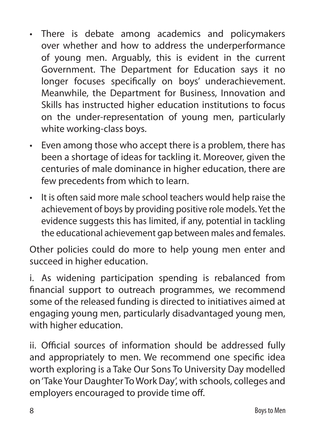- There is debate among academics and policymakers over whether and how to address the underperformance of young men. Arguably, this is evident in the current Government. The Department for Education says it no longer focuses specifically on boys' underachievement. Meanwhile, the Department for Business, Innovation and Skills has instructed higher education institutions to focus on the under-representation of young men, particularly white working-class boys.
- Even among those who accept there is a problem, there has been a shortage of ideas for tackling it. Moreover, given the centuries of male dominance in higher education, there are few precedents from which to learn.
- It is often said more male school teachers would help raise the achievement of boys by providing positive role models. Yet the evidence suggests this has limited, if any, potential in tackling the educational achievement gap between males and females.

Other policies could do more to help young men enter and succeed in higher education.

i. As widening participation spending is rebalanced from financial support to outreach programmes, we recommend some of the released funding is directed to initiatives aimed at engaging young men, particularly disadvantaged young men, with higher education.

ii. Official sources of information should be addressed fully and appropriately to men. We recommend one specific idea worth exploring is a Take Our Sons To University Day modelled on 'Take Your Daughter To Work Day', with schools, colleges and employers encouraged to provide time off.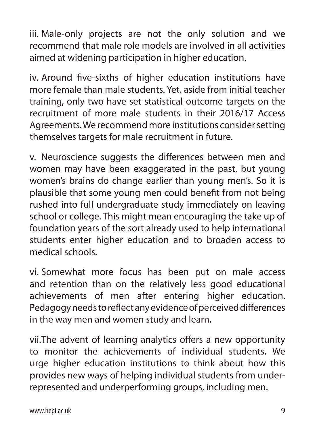iii. Male-only projects are not the only solution and we recommend that male role models are involved in all activities aimed at widening participation in higher education.

iv. Around five-sixths of higher education institutions have more female than male students. Yet, aside from initial teacher training, only two have set statistical outcome targets on the recruitment of more male students in their 2016/17 Access Agreements. We recommend more institutions consider setting themselves targets for male recruitment in future.

v. Neuroscience suggests the differences between men and women may have been exaggerated in the past, but young women's brains do change earlier than young men's. So it is plausible that some young men could benefit from not being rushed into full undergraduate study immediately on leaving school or college. This might mean encouraging the take up of foundation years of the sort already used to help international students enter higher education and to broaden access to medical schools.

vi. Somewhat more focus has been put on male access and retention than on the relatively less good educational achievements of men after entering higher education. Pedagogy needs to reflect any evidence of perceived differences in the way men and women study and learn.

vii.The advent of learning analytics offers a new opportunity to monitor the achievements of individual students. We urge higher education institutions to think about how this provides new ways of helping individual students from underrepresented and underperforming groups, including men.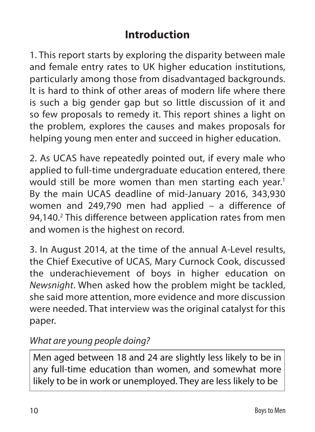# **Introduction**

1. This report starts by exploring the disparity between male and female entry rates to UK higher education institutions, particularly among those from disadvantaged backgrounds. It is hard to think of other areas of modern life where there is such a big gender gap but so little discussion of it and so few proposals to remedy it. This report shines a light on the problem, explores the causes and makes proposals for helping young men enter and succeed in higher education.

2. As UCAS have repeatedly pointed out, if every male who applied to full-time undergraduate education entered, there would still be more women than men starting each year.<sup>1</sup> By the main UCAS deadline of mid-January 2016, 343,930 women and 249,790 men had applied – a difference of 94,140.<sup>2</sup> This difference between application rates from men and women is the highest on record.

3. In August 2014, at the time of the annual A-Level results, the Chief Executive of UCAS, Mary Curnock Cook, discussed the underachievement of boys in higher education on *Newsnight*. When asked how the problem might be tackled, she said more attention, more evidence and more discussion were needed. That interview was the original catalyst for this paper.

# *What are young people doing?*

Men aged between 18 and 24 are slightly less likely to be in any full-time education than women, and somewhat more likely to be in work or unemployed. They are less likely to be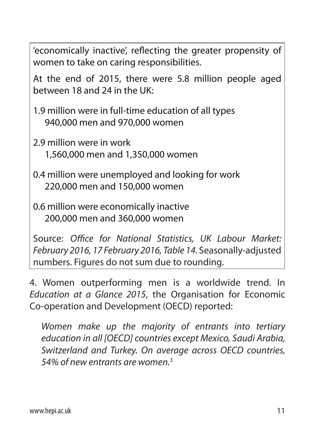'economically inactive', reflecting the greater propensity of women to take on caring responsibilities.

At the end of 2015, there were 5.8 million people aged between 18 and 24 in the UK:

1.9 million were in full-time education of all types 940,000 men and 970,000 women

2.9 million were in work 1,560,000 men and 1,350,000 women

0.4 million were unemployed and looking for work 220,000 men and 150,000 women

0.6 million were economically inactive 200,000 men and 360,000 women

Source: *Office for National Statistics, UK Labour Market: February 2016, 17 February 2016, Table 14.* Seasonally-adjusted numbers. Figures do not sum due to rounding.

4. Women outperforming men is a worldwide trend. In *Education at a Glance 2015*, the Organisation for Economic Co-operation and Development (OECD) reported:

 *Women make up the majority of entrants into tertiary education in all [OECD] countries except Mexico, Saudi Arabia, Switzerland and Turkey. On average across OECD countries, 54% of new entrants are women.*3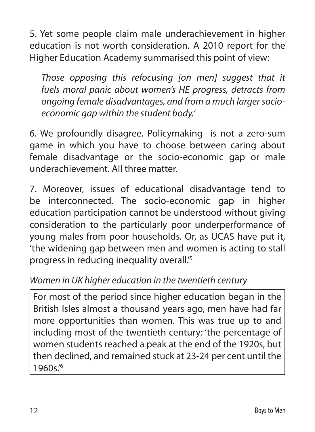5. Yet some people claim male underachievement in higher education is not worth consideration. A 2010 report for the Higher Education Academy summarised this point of view:

 *Those opposing this refocusing [on men] suggest that it fuels moral panic about women's HE progress, detracts from ongoing female disadvantages, and from a much larger socioeconomic gap within the student body.*<sup>4</sup>

6. We profoundly disagree. Policymaking is not a zero-sum game in which you have to choose between caring about female disadvantage or the socio-economic gap or male underachievement. All three matter.

7. Moreover, issues of educational disadvantage tend to be interconnected. The socio-economic gap in higher education participation cannot be understood without giving consideration to the particularly poor underperformance of young males from poor households. Or, as UCAS have put it, 'the widening gap between men and women is acting to stall progress in reducing inequality overall.'5

# *Women in UK higher education in the twentieth century*

For most of the period since higher education began in the British Isles almost a thousand years ago, men have had far more opportunities than women. This was true up to and including most of the twentieth century: 'the percentage of women students reached a peak at the end of the 1920s, but then declined, and remained stuck at 23-24 per cent until the 1960s.'6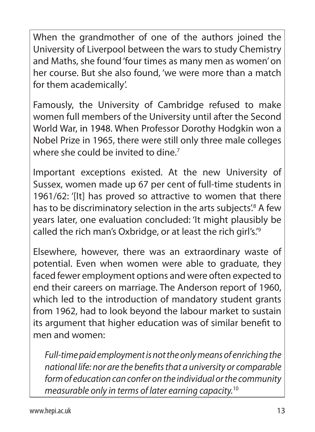When the grandmother of one of the authors joined the University of Liverpool between the wars to study Chemistry and Maths, she found 'four times as many men as women' on her course. But she also found, 'we were more than a match for them academically'.

Famously, the University of Cambridge refused to make women full members of the University until after the Second World War, in 1948. When Professor Dorothy Hodgkin won a Nobel Prize in 1965, there were still only three male colleges where she could be invited to dine.<sup>7</sup>

Important exceptions existed. At the new University of Sussex, women made up 67 per cent of full-time students in 1961/62: '[It] has proved so attractive to women that there has to be discriminatory selection in the arts subjects'.<sup>8</sup> A few years later, one evaluation concluded: 'It might plausibly be called the rich man's Oxbridge, or at least the rich girl's.'9

Elsewhere, however, there was an extraordinary waste of potential. Even when women were able to graduate, they faced fewer employment options and were often expected to end their careers on marriage. The Anderson report of 1960, which led to the introduction of mandatory student grants from 1962, had to look beyond the labour market to sustain its argument that higher education was of similar benefit to men and women:

 *Full-time paid employment is not the only means of enriching the national life: nor are the benefits that a university or comparable form of education can confer on the individual or the community measurable only in terms of later earning capacity.*10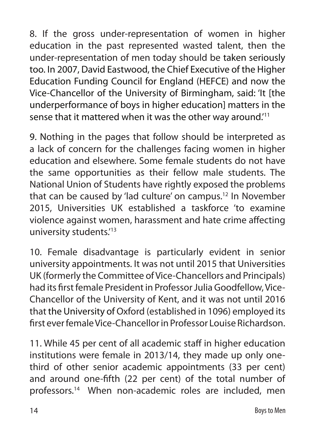8. If the gross under-representation of women in higher education in the past represented wasted talent, then the under-representation of men today should be taken seriously too. In 2007, David Eastwood, the Chief Executive of the Higher Education Funding Council for England (HEFCE) and now the Vice-Chancellor of the University of Birmingham, said: 'It [the underperformance of boys in higher education] matters in the sense that it mattered when it was the other way around.'11

9. Nothing in the pages that follow should be interpreted as a lack of concern for the challenges facing women in higher education and elsewhere. Some female students do not have the same opportunities as their fellow male students. The National Union of Students have rightly exposed the problems that can be caused by 'lad culture' on campus.12 In November 2015, Universities UK established a taskforce 'to examine violence against women, harassment and hate crime affecting university students.'13

10. Female disadvantage is particularly evident in senior university appointments. It was not until 2015 that Universities UK (formerly the Committee of Vice-Chancellors and Principals) had its first female President in Professor Julia Goodfellow, Vice-Chancellor of the University of Kent, and it was not until 2016 that the University of Oxford (established in 1096) employed its first ever female Vice-Chancellor in Professor Louise Richardson.

11. While 45 per cent of all academic staff in higher education institutions were female in 2013/14, they made up only onethird of other senior academic appointments (33 per cent) and around one-fifth (22 per cent) of the total number of professors.14 When non-academic roles are included, men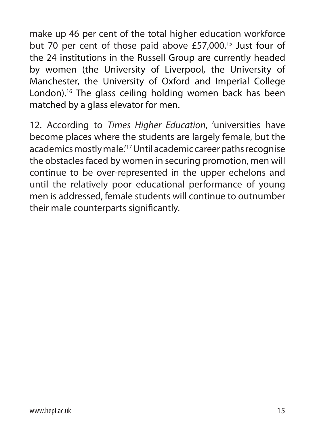make up 46 per cent of the total higher education workforce but 70 per cent of those paid above £57,000.<sup>15</sup> Just four of the 24 institutions in the Russell Group are currently headed by women (the University of Liverpool, the University of Manchester, the University of Oxford and Imperial College London).16 The glass ceiling holding women back has been matched by a glass elevator for men.

12. According to *Times Higher Education*, 'universities have become places where the students are largely female, but the academics mostly male.'17 Until academic career paths recognise the obstacles faced by women in securing promotion, men will continue to be over-represented in the upper echelons and until the relatively poor educational performance of young men is addressed, female students will continue to outnumber their male counterparts significantly.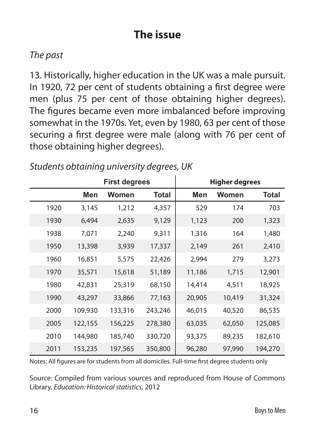# **The issue**

### *The past*

13. Historically, higher education in the UK was a male pursuit. In 1920, 72 per cent of students obtaining a first degree were men (plus 75 per cent of those obtaining higher degrees). The figures became even more imbalanced before improving somewhat in the 1970s. Yet, even by 1980, 63 per cent of those securing a first degree were male (along with 76 per cent of those obtaining higher degrees).

|      |         | <b>First degrees</b> |         |        | Higher degrees |         |
|------|---------|----------------------|---------|--------|----------------|---------|
|      | Men     | Women                | Total   | Men    | Women          | Total   |
| 1920 | 3,145   | 1,212                | 4,357   | 529    | 174            | 703     |
| 1930 | 6,494   | 2,635                | 9,129   | 1,123  | 200            | 1,323   |
| 1938 | 7,071   | 2,240                | 9,311   | 1,316  | 164            | 1,480   |
| 1950 | 13,398  | 3,939                | 17,337  | 2,149  | 261            | 2,410   |
| 1960 | 16,851  | 5,575                | 22,426  | 2,994  | 279            | 3,273   |
| 1970 | 35,571  | 15,618               | 51,189  | 11,186 | 1,715          | 12,901  |
| 1980 | 42,831  | 25,319               | 68,150  | 14,414 | 4,511          | 18,925  |
| 1990 | 43,297  | 33,866               | 77,163  | 20,905 | 10,419         | 31,324  |
| 2000 | 109,930 | 133,316              | 243,246 | 46,015 | 40,520         | 86,535  |
| 2005 | 122,155 | 156,225              | 278,380 | 63,035 | 62,050         | 125,085 |
| 2010 | 144,980 | 185,740              | 330,720 | 93,375 | 89,235         | 182,610 |
| 2011 | 153,235 | 197,565              | 350,800 | 96,280 | 97,990         | 194,270 |

*Students obtaining university degrees, UK*

Notes: All figures are for students from all domiciles. Full-time first degree students only

Source: Compiled from various sources and reproduced from House of Commons Library, *Education: Historical statistics*, 2012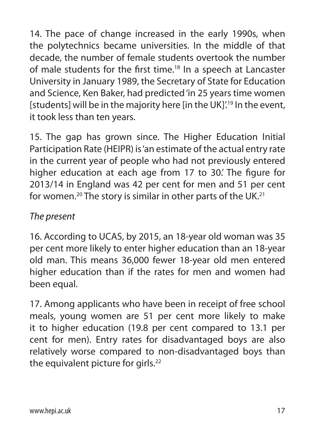14. The pace of change increased in the early 1990s, when the polytechnics became universities. In the middle of that decade, the number of female students overtook the number of male students for the first time.18 In a speech at Lancaster University in January 1989, the Secretary of State for Education and Science, Ken Baker, had predicted 'in 25 years time women [students] will be in the majority here [in the UK]'.<sup>19</sup> In the event, it took less than ten years.

15. The gap has grown since. The Higher Education Initial Participation Rate (HEIPR) is 'an estimate of the actual entry rate in the current year of people who had not previously entered higher education at each age from 17 to 30.' The figure for 2013/14 in England was 42 per cent for men and 51 per cent for women.<sup>20</sup> The story is similar in other parts of the UK.<sup>21</sup>

### *The present*

16. According to UCAS, by 2015, an 18-year old woman was 35 per cent more likely to enter higher education than an 18-year old man. This means 36,000 fewer 18-year old men entered higher education than if the rates for men and women had been equal.

17. Among applicants who have been in receipt of free school meals, young women are 51 per cent more likely to make it to higher education (19.8 per cent compared to 13.1 per cent for men). Entry rates for disadvantaged boys are also relatively worse compared to non-disadvantaged boys than the equivalent picture for girls.<sup>22</sup>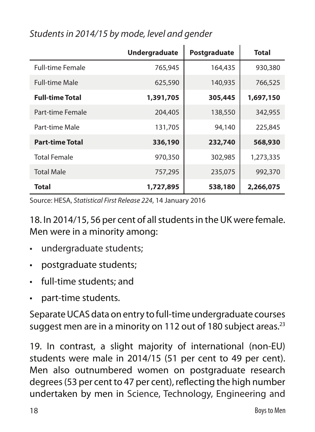|                         | <b>Undergraduate</b> | Postgraduate | Total     |
|-------------------------|----------------------|--------------|-----------|
| <b>Full-time Female</b> | 765,945              | 164,435      | 930,380   |
| <b>Full-time Male</b>   | 625,590              | 140,935      | 766,525   |
| <b>Full-time Total</b>  | 1,391,705            | 305,445      | 1,697,150 |
| Part-time Female        | 204,405              | 138,550      | 342,955   |
| Part-time Male          | 131,705              | 94,140       | 225,845   |
| <b>Part-time Total</b>  | 336,190              | 232,740      | 568,930   |
| <b>Total Female</b>     | 970,350              | 302,985      | 1,273,335 |
| <b>Total Male</b>       | 757,295              | 235,075      | 992,370   |
| <b>Total</b>            | 1,727,895            | 538,180      | 2,266,075 |

# *Students in 2014/15 by mode, level and gender*

Source: HESA, *Statistical First Release 224*, 14 January 2016

18. In 2014/15, 56 per cent of all students in the UK were female. Men were in a minority among:

- undergraduate students;
- postgraduate students;
- full-time students; and
- part-time students.

Separate UCAS data on entry to full-time undergraduate courses suggest men are in a minority on 112 out of 180 subject areas.<sup>23</sup>

19. In contrast, a slight majority of international (non-EU) students were male in 2014/15 (51 per cent to 49 per cent). Men also outnumbered women on postgraduate research degrees (53 per cent to 47 per cent), reflecting the high number undertaken by men in Science, Technology, Engineering and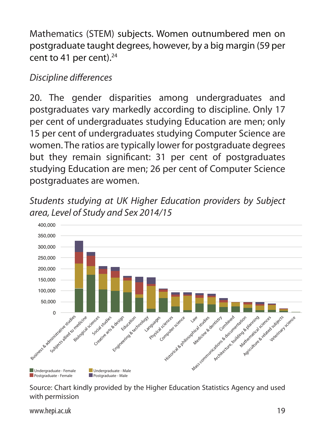Mathematics (STEM) subjects. Women outnumbered men on postgraduate taught degrees, however, by a big margin (59 per cent to 41 per cent). $24$ 

# *Discipline differences*

20. The gender disparities among undergraduates and postgraduates vary markedly according to discipline. Only 17 per cent of undergraduates studying Education are men; only 15 per cent of undergraduates studying Computer Science are women. The ratios are typically lower for postgraduate degrees but they remain significant: 31 per cent of postgraduates studying Education are men; 26 per cent of Computer Science postgraduates are women.

*Students studying at UK Higher Education providers by Subject*  area, Level of Study and Sex 2014/15 2014/15



Source: Chart kindly provided by the Higher Education Statistics Agency and used with permission

www.hepi.ac.uk 29 Australian and the control of the control of the control of the control of the control of the control of the control of the control of the control of the control of the control of the control of the contr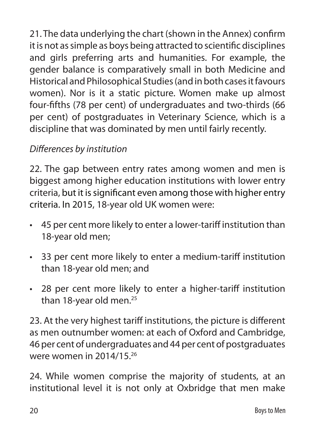21. The data underlying the chart (shown in the Annex) confirm it is not as simple as boys being attracted to scientific disciplines and girls preferring arts and humanities. For example, the gender balance is comparatively small in both Medicine and Historical and Philosophical Studies (and in both cases it favours women). Nor is it a static picture. Women make up almost four-fifths (78 per cent) of undergraduates and two-thirds (66 per cent) of postgraduates in Veterinary Science, which is a discipline that was dominated by men until fairly recently.

# *Differences by institution*

22. The gap between entry rates among women and men is biggest among higher education institutions with lower entry criteria, but it is significant even among those with higher entry criteria. In 2015, 18-year old UK women were:

- 45 per cent more likely to enter a lower-tariff institution than 18-year old men;
- 33 per cent more likely to enter a medium-tariff institution than 18-year old men; and
- 28 per cent more likely to enter a higher-tariff institution than 18-year old men.<sup>25</sup>

23. At the very highest tariff institutions, the picture is different as men outnumber women: at each of Oxford and Cambridge, 46 per cent of undergraduates and 44 per cent of postgraduates were women in 2014/15.26

24. While women comprise the majority of students, at an institutional level it is not only at Oxbridge that men make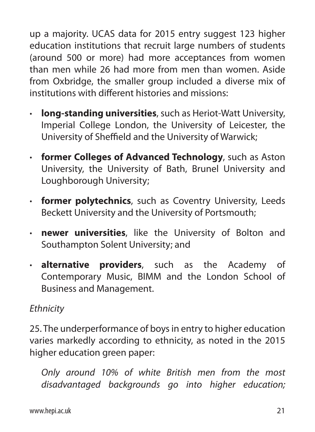up a majority. UCAS data for 2015 entry suggest 123 higher education institutions that recruit large numbers of students (around 500 or more) had more acceptances from women than men while 26 had more from men than women. Aside from Oxbridge, the smaller group included a diverse mix of institutions with different histories and missions:

- **· long-standing universities**, such as Heriot-Watt University, Imperial College London, the University of Leicester, the University of Sheffield and the University of Warwick;
- **· former Colleges of Advanced Technology**, such as Aston University, the University of Bath, Brunel University and Loughborough University;
- **· former polytechnics**, such as Coventry University, Leeds Beckett University and the University of Portsmouth;
- **· newer universities**, like the University of Bolton and Southampton Solent University; and
- **· alternative providers**, such as the Academy of Contemporary Music, BIMM and the London School of Business and Management.

# *Ethnicity*

25. The underperformance of boys in entry to higher education varies markedly according to ethnicity, as noted in the 2015 higher education green paper:

 *Only around 10% of white British men from the most disadvantaged backgrounds go into higher education;*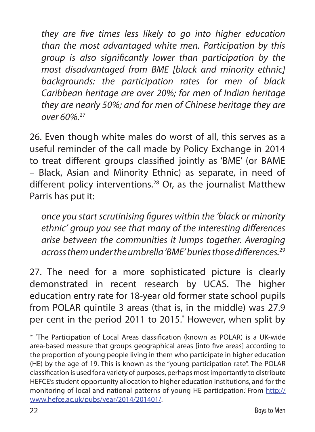*they are five times less likely to go into higher education than the most advantaged white men. Participation by this group is also significantly lower than participation by the most disadvantaged from BME [black and minority ethnic] backgrounds: the participation rates for men of black Caribbean heritage are over 20%; for men of Indian heritage they are nearly 50%; and for men of Chinese heritage they are over 60%.*<sup>27</sup>

26. Even though white males do worst of all, this serves as a useful reminder of the call made by Policy Exchange in 2014 to treat different groups classified jointly as 'BME' (or BAME – Black, Asian and Minority Ethnic) as separate, in need of different policy interventions.<sup>28</sup> Or, as the journalist Matthew Parris has put it:

 *once you start scrutinising figures within the 'black or minority ethnic' group you see that many of the interesting differences arise between the communities it lumps together. Averaging across them under the umbrella 'BME' buries those differences.*<sup>29</sup>

27. The need for a more sophisticated picture is clearly demonstrated in recent research by UCAS. The higher education entry rate for 18-year old former state school pupils from POLAR quintile 3 areas (that is, in the middle) was 27.9 per cent in the period 2011 to 2015.\* However, when split by

\* 'The Participation of Local Areas classification (known as POLAR) is a UK-wide area-based measure that groups geographical areas [into five areas] according to the proportion of young people living in them who participate in higher education (HE) by the age of 19. This is known as the "young participation rate". The POLAR classification is used for a variety of purposes, perhaps most importantly to distribute HEFCE's student opportunity allocation to higher education institutions, and for the monitoring of local and national patterns of young HE participation.' From http:// www.hefce.ac.uk/pubs/year/2014/201401/.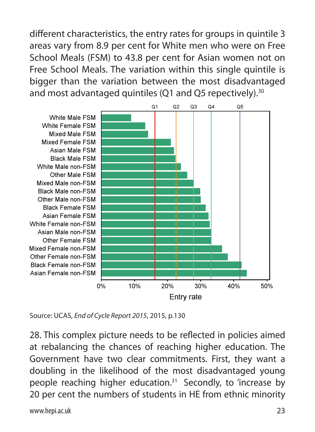different characteristics, the entry rates for groups in quintile 3 areas vary from 8.9 per cent for White men who were on Free School Meals (FSM) to 43.8 per cent for Asian women not on Free School Meals. The variation within this single quintile is bigger than the variation between the most disadvantaged and most advantaged quintiles (Q1 and Q5 repectively).<sup>30</sup>



Source: UCAS, *End of Cycle Report 2015*, 2015, p.130

28. This complex picture needs to be reflected in policies aimed at rebalancing the chances of reaching higher education. The Government have two clear commitments. First, they want a doubling in the likelihood of the most disadvantaged young people reaching higher education.31 Secondly, to 'increase by 20 per cent the numbers of students in HE from ethnic minority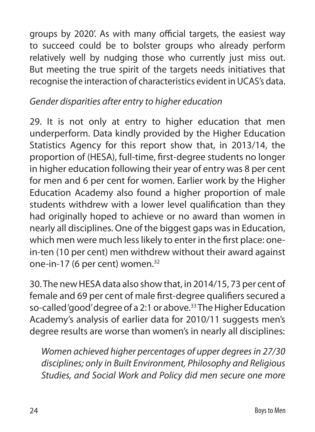groups by 2020'. As with many official targets, the easiest way to succeed could be to bolster groups who already perform relatively well by nudging those who currently just miss out. But meeting the true spirit of the targets needs initiatives that recognise the interaction of characteristics evident in UCAS's data.

# *Gender disparities after entry to higher education*

29. It is not only at entry to higher education that men underperform. Data kindly provided by the Higher Education Statistics Agency for this report show that, in 2013/14, the proportion of (HESA), full-time, first-degree students no longer in higher education following their year of entry was 8 per cent for men and 6 per cent for women. Earlier work by the Higher Education Academy also found a higher proportion of male students withdrew with a lower level qualification than they had originally hoped to achieve or no award than women in nearly all disciplines. One of the biggest gaps was in Education, which men were much less likely to enter in the first place: onein-ten (10 per cent) men withdrew without their award against one-in-17 (6 per cent) women.<sup>32</sup>

30. The new HESA data also show that, in 2014/15, 73 per cent of female and 69 per cent of male first-degree qualifiers secured a so-called 'good' degree of a 2:1 or above.<sup>33</sup> The Higher Education Academy's analysis of earlier data for 2010/11 suggests men's degree results are worse than women's in nearly all disciplines:

 *Women achieved higher percentages of upper degrees in 27/30 disciplines; only in Built Environment, Philosophy and Religious Studies, and Social Work and Policy did men secure one more*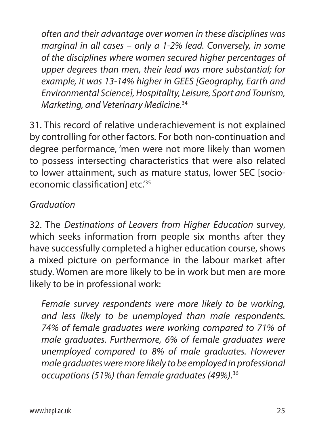*often and their advantage over women in these disciplines was marginal in all cases – only a 1-2% lead. Conversely, in some of the disciplines where women secured higher percentages of upper degrees than men, their lead was more substantial; for example, it was 13-14% higher in GEES [Geography, Earth and Environmental Science], Hospitality, Leisure, Sport and Tourism, Marketing, and Veterinary Medicine.*<sup>34</sup>

31. This record of relative underachievement is not explained by controlling for other factors. For both non-continuation and degree performance, 'men were not more likely than women to possess intersecting characteristics that were also related to lower attainment, such as mature status, lower SEC [socioeconomic classification] etc.<sup>'35</sup>

### *Graduation*

32. The *Destinations of Leavers from Higher Education* survey, which seeks information from people six months after they have successfully completed a higher education course, shows a mixed picture on performance in the labour market after study. Women are more likely to be in work but men are more likely to be in professional work:

 *Female survey respondents were more likely to be working, and less likely to be unemployed than male respondents. 74% of female graduates were working compared to 71% of male graduates. Furthermore, 6% of female graduates were unemployed compared to 8% of male graduates. However male graduates were more likely to be employed in professional occupations (51%) than female graduates (49%).*36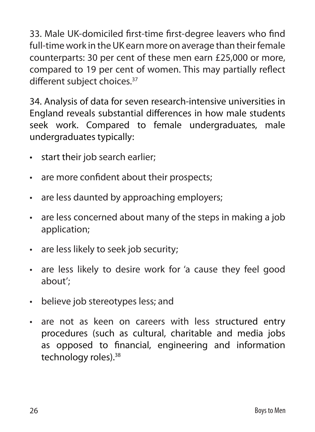33. Male UK-domiciled first-time first-degree leavers who find full-time work in the UK earn more on average than their female counterparts: 30 per cent of these men earn £25,000 or more, compared to 19 per cent of women. This may partially reflect different subject choices.<sup>37</sup>

34. Analysis of data for seven research-intensive universities in England reveals substantial differences in how male students seek work. Compared to female undergraduates, male undergraduates typically:

- start their job search earlier;
- are more confident about their prospects;
- are less daunted by approaching employers;
- are less concerned about many of the steps in making a job application;
- are less likely to seek job security;
- are less likely to desire work for 'a cause they feel good about';
- believe job stereotypes less; and
- are not as keen on careers with less structured entry procedures (such as cultural, charitable and media jobs as opposed to financial, engineering and information technology roles).<sup>38</sup>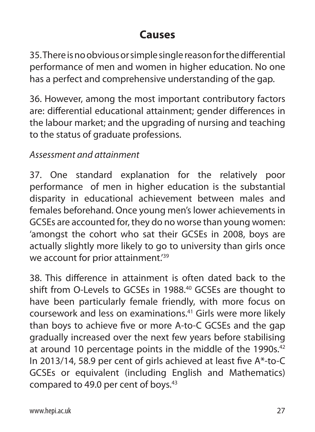# **Causes**

35. There is no obvious or simple single reason for the differential performance of men and women in higher education. No one has a perfect and comprehensive understanding of the gap.

36. However, among the most important contributory factors are: differential educational attainment; gender differences in the labour market; and the upgrading of nursing and teaching to the status of graduate professions.

# *Assessment and attainment*

37. One standard explanation for the relatively poor performance of men in higher education is the substantial disparity in educational achievement between males and females beforehand. Once young men's lower achievements in GCSEs are accounted for, they do no worse than young women: 'amongst the cohort who sat their GCSEs in 2008, boys are actually slightly more likely to go to university than girls once we account for prior attainment.<sup>'39</sup>

38. This difference in attainment is often dated back to the shift from O-Levels to GCSEs in 1988.<sup>40</sup> GCSEs are thought to have been particularly female friendly, with more focus on coursework and less on examinations.41 Girls were more likely than boys to achieve five or more A-to-C GCSEs and the gap gradually increased over the next few years before stabilising at around 10 percentage points in the middle of the 1990s.<sup>42</sup> In 2013/14, 58.9 per cent of girls achieved at least five A\*-to-C GCSEs or equivalent (including English and Mathematics) compared to 49.0 per cent of boys.<sup>43</sup>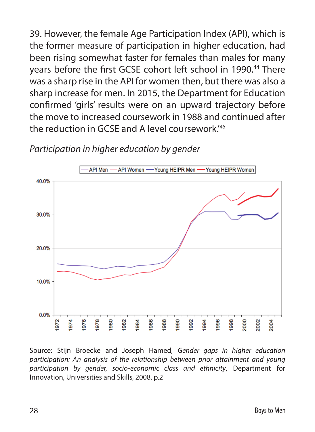39. However, the female Age Participation Index (API), which is the former measure of participation in higher education, had been rising somewhat faster for females than males for many years before the first GCSE cohort left school in 1990.<sup>44</sup> There was a sharp rise in the API for women then, but there was also a sharp increase for men. In 2015, the Department for Education confirmed 'girls' results were on an upward trajectory before the move to increased coursework in 1988 and continued after the reduction in GCSE and A level coursework.'45



#### *Participation in higher education by gender*

Source: Stijn Broecke and Joseph Hamed, *Gender gaps in higher education participation: An analysis of the relationship between prior attainment and young participation by gender, socio-economic class and ethnicity*, Department for Innovation, Universities and Skills, 2008, p.2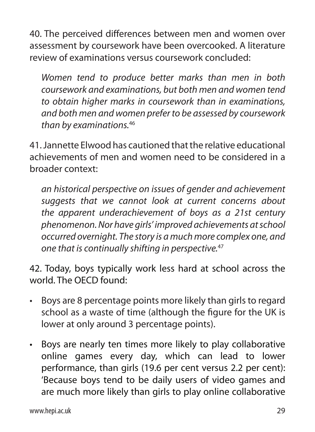40. The perceived differences between men and women over assessment by coursework have been overcooked. A literature review of examinations versus coursework concluded:

 *Women tend to produce better marks than men in both coursework and examinations, but both men and women tend to obtain higher marks in coursework than in examinations, and both men and women prefer to be assessed by coursework than by examinations.*<sup>46</sup>

41. Jannette Elwood has cautioned that the relative educational achievements of men and women need to be considered in a broader context:

 *an historical perspective on issues of gender and achievement suggests that we cannot look at current concerns about the apparent underachievement of boys as a 21st century phenomenon. Nor have girls' improved achievements at school occurred overnight. The story is a much more complex one, and one that is continually shifting in perspective.*<sup>47</sup>

42. Today, boys typically work less hard at school across the world. The OECD found:

- Boys are 8 percentage points more likely than girls to regard school as a waste of time (although the figure for the UK is lower at only around 3 percentage points).
- Boys are nearly ten times more likely to play collaborative online games every day, which can lead to lower performance, than girls (19.6 per cent versus 2.2 per cent): 'Because boys tend to be daily users of video games and are much more likely than girls to play online collaborative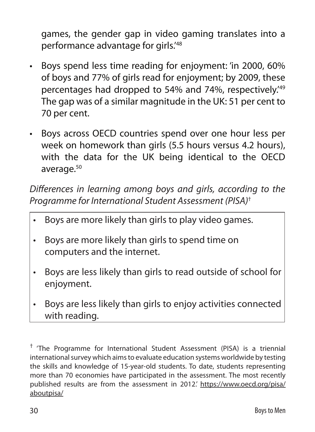games, the gender gap in video gaming translates into a performance advantage for girls.'48

- Boys spend less time reading for enjoyment: 'in 2000, 60% of boys and 77% of girls read for enjoyment; by 2009, these percentages had dropped to 54% and 74%, respectively.'49 The gap was of a similar magnitude in the UK: 51 per cent to 70 per cent.
- Boys across OECD countries spend over one hour less per week on homework than girls (5.5 hours versus 4.2 hours), with the data for the UK being identical to the OECD average.<sup>50</sup>

*Differences in learning among boys and girls, according to the Programme for International Student Assessment (PISA)*†

- Boys are more likely than girls to play video games.
- Boys are more likely than girls to spend time on computers and the internet.
- Boys are less likely than girls to read outside of school for enjoyment.
- Boys are less likely than girls to enjoy activities connected with reading.

<sup>†</sup> 'The Programme for International Student Assessment (PISA) is a triennial international survey which aims to evaluate education systems worldwide by testing the skills and knowledge of 15-year-old students. To date, students representing more than 70 economies have participated in the assessment. The most recently published results are from the assessment in 2012.' https://www.oecd.org/pisa/ aboutpisa/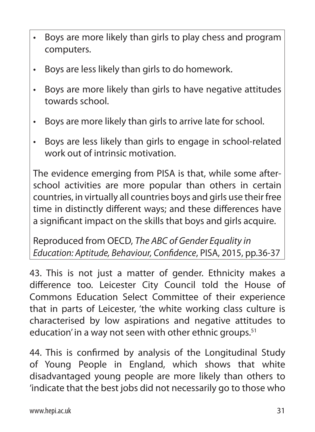- Boys are more likely than girls to play chess and program computers.
- Boys are less likely than girls to do homework.
- Boys are more likely than girls to have negative attitudes towards school.
- Boys are more likely than girls to arrive late for school.
- Boys are less likely than girls to engage in school-related work out of intrinsic motivation.

The evidence emerging from PISA is that, while some afterschool activities are more popular than others in certain countries, in virtually all countries boys and girls use their free time in distinctly different ways; and these differences have a significant impact on the skills that boys and girls acquire.

Reproduced from OECD, *The ABC of Gender Equality in Education: Aptitude, Behaviour, Confidence*, PISA, 2015, pp.36-37

43. This is not just a matter of gender. Ethnicity makes a difference too. Leicester City Council told the House of Commons Education Select Committee of their experience that in parts of Leicester, 'the white working class culture is characterised by low aspirations and negative attitudes to education' in a way not seen with other ethnic groups.<sup>51</sup>

44. This is confirmed by analysis of the Longitudinal Study of Young People in England, which shows that white disadvantaged young people are more likely than others to 'indicate that the best jobs did not necessarily go to those who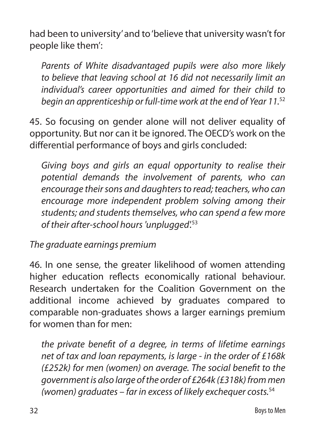had been to university' and to 'believe that university wasn't for people like them':

 *Parents of White disadvantaged pupils were also more likely to believe that leaving school at 16 did not necessarily limit an individual's career opportunities and aimed for their child to begin an apprenticeship or full-time work at the end of Year 11.*<sup>52</sup>

45. So focusing on gender alone will not deliver equality of opportunity. But nor can it be ignored. The OECD's work on the differential performance of boys and girls concluded:

 *Giving boys and girls an equal opportunity to realise their potential demands the involvement of parents, who can encourage their sons and daughters to read; teachers, who can encourage more independent problem solving among their students; and students themselves, who can spend a few more of their after-school hours 'unplugged'.*<sup>53</sup>

*The graduate earnings premium*

46. In one sense, the greater likelihood of women attending higher education reflects economically rational behaviour. Research undertaken for the Coalition Government on the additional income achieved by graduates compared to comparable non-graduates shows a larger earnings premium for women than for men:

 *the private benefit of a degree, in terms of lifetime earnings net of tax and loan repayments, is large - in the order of £168k (£252k) for men (women) on average. The social benefit to the government is also large of the order of £264k (£318k) from men (women) graduates – far in excess of likely exchequer costs.*54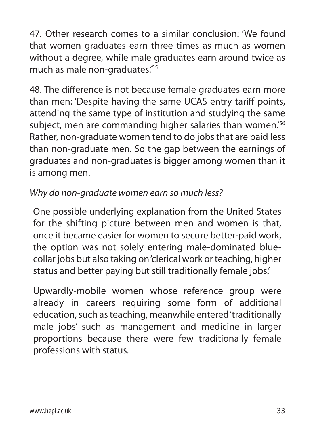47. Other research comes to a similar conclusion: 'We found that women graduates earn three times as much as women without a degree, while male graduates earn around twice as much as male non-graduates.'55

48. The difference is not because female graduates earn more than men: 'Despite having the same UCAS entry tariff points, attending the same type of institution and studying the same subject, men are commanding higher salaries than women.<sup>'56</sup> Rather, non-graduate women tend to do jobs that are paid less than non-graduate men. So the gap between the earnings of graduates and non-graduates is bigger among women than it is among men.

### *Why do non-graduate women earn so much less?*

One possible underlying explanation from the United States for the shifting picture between men and women is that, once it became easier for women to secure better-paid work, the option was not solely entering male-dominated bluecollar jobs but also taking on 'clerical work or teaching, higher status and better paying but still traditionally female jobs.'

Upwardly-mobile women whose reference group were already in careers requiring some form of additional education, such as teaching, meanwhile entered 'traditionally male jobs' such as management and medicine in larger proportions because there were few traditionally female professions with status.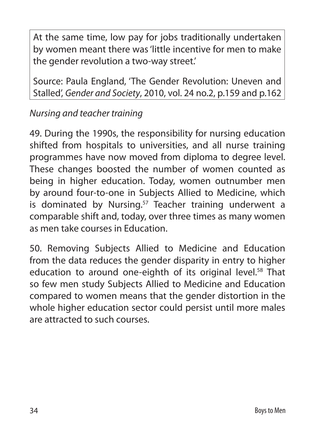At the same time, low pay for jobs traditionally undertaken by women meant there was 'little incentive for men to make the gender revolution a two-way street.'

Source: Paula England, 'The Gender Revolution: Uneven and Stalled', *Gender and Society*, 2010, vol. 24 no.2, p.159 and p.162

# *Nursing and teacher training*

49. During the 1990s, the responsibility for nursing education shifted from hospitals to universities, and all nurse training programmes have now moved from diploma to degree level. These changes boosted the number of women counted as being in higher education. Today, women outnumber men by around four-to-one in Subjects Allied to Medicine, which is dominated by Nursing.<sup>57</sup> Teacher training underwent a comparable shift and, today, over three times as many women as men take courses in Education.

50. Removing Subjects Allied to Medicine and Education from the data reduces the gender disparity in entry to higher education to around one-eighth of its original level.<sup>58</sup> That so few men study Subjects Allied to Medicine and Education compared to women means that the gender distortion in the whole higher education sector could persist until more males are attracted to such courses.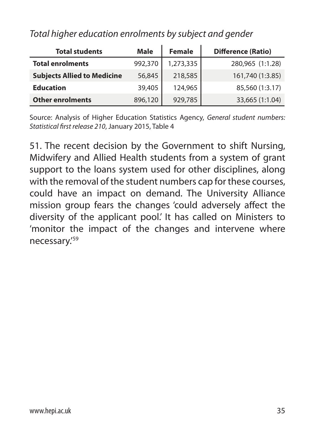| <b>Total students</b>              | Male<br><b>Female</b> |           | <b>Difference (Ratio)</b> |  |  |
|------------------------------------|-----------------------|-----------|---------------------------|--|--|
| <b>Total enrolments</b>            | 992,370               | 1,273,335 | 280,965 (1:1.28)          |  |  |
| <b>Subjects Allied to Medicine</b> | 56,845                | 218,585   | 161,740 (1:3.85)          |  |  |
| <b>Education</b>                   | 39,405                | 124,965   | 85,560 (1:3.17)           |  |  |
| <b>Other enrolments</b>            | 896,120               | 929,785   | 33,665 (1:1.04)           |  |  |

### *Total higher education enrolments by subject and gender*

Source: Analysis of Higher Education Statistics Agency, *General student numbers: Statistical first release 210*, January 2015, Table 4

51. The recent decision by the Government to shift Nursing, Midwifery and Allied Health students from a system of grant support to the loans system used for other disciplines, along with the removal of the student numbers cap for these courses, could have an impact on demand. The University Alliance mission group fears the changes 'could adversely affect the diversity of the applicant pool.' It has called on Ministers to 'monitor the impact of the changes and intervene where necessary.'59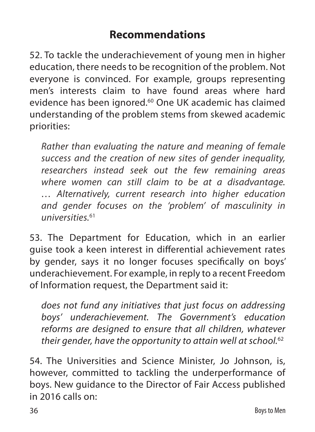# **Recommendations**

52. To tackle the underachievement of young men in higher education, there needs to be recognition of the problem. Not everyone is convinced. For example, groups representing men's interests claim to have found areas where hard evidence has been ignored.<sup>60</sup> One UK academic has claimed understanding of the problem stems from skewed academic priorities:

 *Rather than evaluating the nature and meaning of female success and the creation of new sites of gender inequality, researchers instead seek out the few remaining areas where women can still claim to be at a disadvantage. … Alternatively, current research into higher education and gender focuses on the 'problem' of masculinity in universities.*<sup>61</sup>

53. The Department for Education, which in an earlier guise took a keen interest in differential achievement rates by gender, says it no longer focuses specifically on boys' underachievement. For example, in reply to a recent Freedom of Information request, the Department said it:

 *does not fund any initiatives that just focus on addressing boys' underachievement. The Government's education reforms are designed to ensure that all children, whatever their gender, have the opportunity to attain well at school.*<sup>62</sup>

54. The Universities and Science Minister, Jo Johnson, is, however, committed to tackling the underperformance of boys. New guidance to the Director of Fair Access published in 2016 calls on: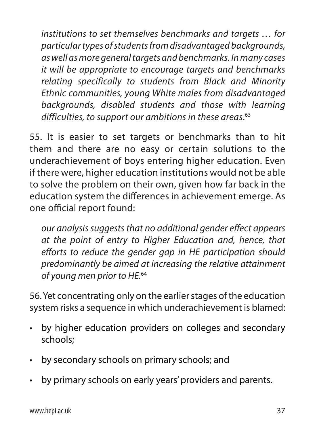*institutions to set themselves benchmarks and targets … for particular types of students from disadvantaged backgrounds, as well as more general targets and benchmarks. In many cases it will be appropriate to encourage targets and benchmarks relating specifically to students from Black and Minority Ethnic communities, young White males from disadvantaged backgrounds, disabled students and those with learning difficulties, to support our ambitions in these areas*. 63

55. It is easier to set targets or benchmarks than to hit them and there are no easy or certain solutions to the underachievement of boys entering higher education. Even if there were, higher education institutions would not be able to solve the problem on their own, given how far back in the education system the differences in achievement emerge. As one official report found:

 *our analysis suggests that no additional gender effect appears at the point of entry to Higher Education and, hence, that efforts to reduce the gender gap in HE participation should predominantly be aimed at increasing the relative attainment of young men prior to HE.*<sup>64</sup>

56. Yet concentrating only on the earlier stages of the education system risks a sequence in which underachievement is blamed:

- by higher education providers on colleges and secondary schools;
- by secondary schools on primary schools; and
- by primary schools on early years' providers and parents.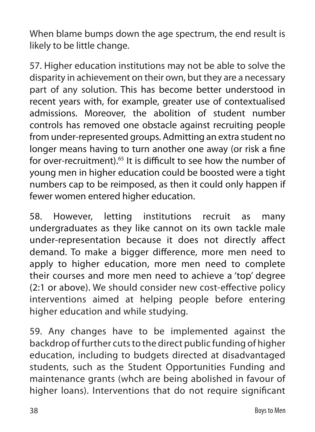When blame bumps down the age spectrum, the end result is likely to be little change.

57. Higher education institutions may not be able to solve the disparity in achievement on their own, but they are a necessary part of any solution. This has become better understood in recent years with, for example, greater use of contextualised admissions. Moreover, the abolition of student number controls has removed one obstacle against recruiting people from under-represented groups. Admitting an extra student no longer means having to turn another one away (or risk a fine for over-recruitment).<sup>65</sup> It is difficult to see how the number of young men in higher education could be boosted were a tight numbers cap to be reimposed, as then it could only happen if fewer women entered higher education.

58. However, letting institutions recruit as many undergraduates as they like cannot on its own tackle male under-representation because it does not directly affect demand. To make a bigger difference, more men need to apply to higher education, more men need to complete their courses and more men need to achieve a 'top' degree (2:1 or above). We should consider new cost-effective policy interventions aimed at helping people before entering higher education and while studying.

59. Any changes have to be implemented against the backdrop of further cuts to the direct public funding of higher education, including to budgets directed at disadvantaged students, such as the Student Opportunities Funding and maintenance grants (whch are being abolished in favour of higher loans). Interventions that do not require significant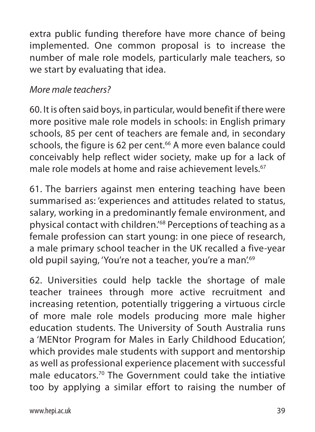extra public funding therefore have more chance of being implemented. One common proposal is to increase the number of male role models, particularly male teachers, so we start by evaluating that idea.

# *More male teachers?*

60. It is often said boys, in particular, would benefit if there were more positive male role models in schools: in English primary schools, 85 per cent of teachers are female and, in secondary schools, the figure is 62 per cent.<sup>66</sup> A more even balance could conceivably help reflect wider society, make up for a lack of male role models at home and raise achievement levels.<sup>67</sup>

61. The barriers against men entering teaching have been summarised as: 'experiences and attitudes related to status, salary, working in a predominantly female environment, and physical contact with children.'68 Perceptions of teaching as a female profession can start young: in one piece of research, a male primary school teacher in the UK recalled a five-year old pupil saying, 'You're not a teacher, you're a man'.69

62. Universities could help tackle the shortage of male teacher trainees through more active recruitment and increasing retention, potentially triggering a virtuous circle of more male role models producing more male higher education students. The University of South Australia runs a 'MENtor Program for Males in Early Childhood Education', which provides male students with support and mentorship as well as professional experience placement with successful male educators.70 The Government could take the intiative too by applying a similar effort to raising the number of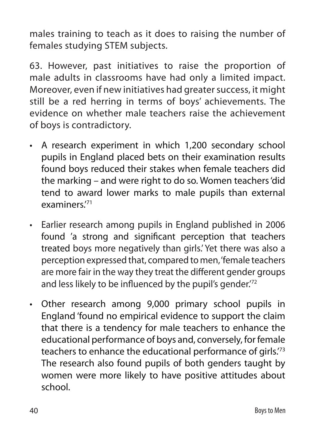males training to teach as it does to raising the number of females studying STEM subjects.

63. However, past initiatives to raise the proportion of male adults in classrooms have had only a limited impact. Moreover, even if new initiatives had greater success, it might still be a red herring in terms of boys' achievements. The evidence on whether male teachers raise the achievement of boys is contradictory.

- A research experiment in which 1,200 secondary school pupils in England placed bets on their examination results found boys reduced their stakes when female teachers did the marking – and were right to do so. Women teachers 'did tend to award lower marks to male pupils than external examiners<sup>71</sup>
- Earlier research among pupils in England published in 2006 found 'a strong and significant perception that teachers treated boys more negatively than girls.' Yet there was also a perception expressed that, compared to men, 'female teachers are more fair in the way they treat the different gender groups and less likely to be influenced by the pupil's gender.<sup>72</sup>
- Other research among 9,000 primary school pupils in England 'found no empirical evidence to support the claim that there is a tendency for male teachers to enhance the educational performance of boys and, conversely, for female teachers to enhance the educational performance of girls.'73 The research also found pupils of both genders taught by women were more likely to have positive attitudes about school.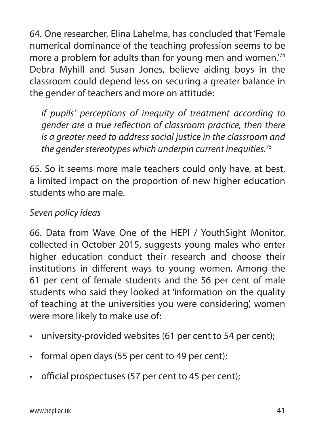64. One researcher, Elina Lahelma, has concluded that 'Female numerical dominance of the teaching profession seems to be more a problem for adults than for young men and women.'74 Debra Myhill and Susan Jones, believe aiding boys in the classroom could depend less on securing a greater balance in the gender of teachers and more on attitude:

 *if pupils' perceptions of inequity of treatment according to gender are a true reflection of classroom practice, then there is a greater need to address social justice in the classroom and the gender stereotypes which underpin current inequities.*<sup>75</sup>

65. So it seems more male teachers could only have, at best, a limited impact on the proportion of new higher education students who are male.

# *Seven policy ideas*

66. Data from Wave One of the HEPI / YouthSight Monitor, collected in October 2015, suggests young males who enter higher education conduct their research and choose their institutions in different ways to young women. Among the 61 per cent of female students and the 56 per cent of male students who said they looked at 'information on the quality of teaching at the universities you were considering', women were more likely to make use of:

- university-provided websites (61 per cent to 54 per cent);
- formal open days (55 per cent to 49 per cent);
- official prospectuses (57 per cent to 45 per cent);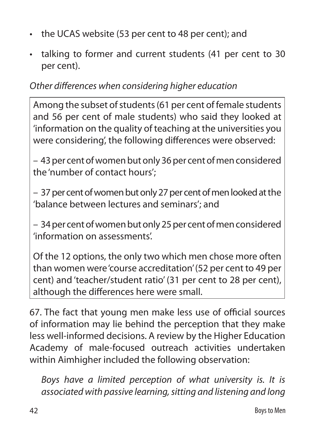- the UCAS website (53 per cent to 48 per cent); and
- talking to former and current students (41 per cent to 30 per cent).

### *Other differences when considering higher education*

Among the subset of students (61 per cent of female students and 56 per cent of male students) who said they looked at 'information on the quality of teaching at the universities you were considering', the following differences were observed:

– 43 per cent of women but only 36 per cent of men considered the 'number of contact hours';

– 37 per cent of women but only 27 per cent of men looked at the 'balance between lectures and seminars'; and

– 34 per cent of women but only 25 per cent of men considered 'information on assessments'.

Of the 12 options, the only two which men chose more often than women were 'course accreditation' (52 per cent to 49 per cent) and 'teacher/student ratio' (31 per cent to 28 per cent), although the differences here were small.

67. The fact that young men make less use of official sources of information may lie behind the perception that they make less well-informed decisions. A review by the Higher Education Academy of male-focused outreach activities undertaken within Aimhigher included the following observation:

 *Boys have a limited perception of what university is. It is associated with passive learning, sitting and listening and long*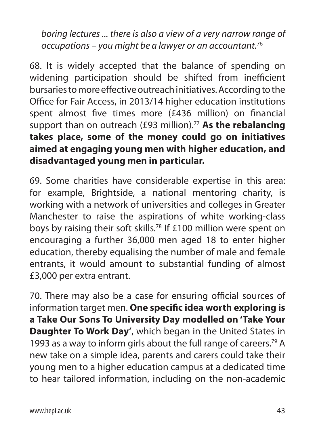*boring lectures ... there is also a view of a very narrow range of occupations – you might be a lawyer or an accountant.*<sup>76</sup>

68. It is widely accepted that the balance of spending on widening participation should be shifted from inefficient bursaries to more effective outreach initiatives. According to the Office for Fair Access, in 2013/14 higher education institutions spent almost five times more (£436 million) on financial support than on outreach (£93 million).<sup>77</sup> As the rebalancing **takes place, some of the money could go on initiatives aimed at engaging young men with higher education, and disadvantaged young men in particular.**

69. Some charities have considerable expertise in this area: for example, Brightside, a national mentoring charity, is working with a network of universities and colleges in Greater Manchester to raise the aspirations of white working-class boys by raising their soft skills.<sup>78</sup> If £100 million were spent on encouraging a further 36,000 men aged 18 to enter higher education, thereby equalising the number of male and female entrants, it would amount to substantial funding of almost £3,000 per extra entrant.

70. There may also be a case for ensuring official sources of information target men. **One specific idea worth exploring is a Take Our Sons To University Day modelled on 'Take Your Daughter To Work Day'**, which began in the United States in 1993 as a way to inform girls about the full range of careers.<sup>79</sup> A new take on a simple idea, parents and carers could take their young men to a higher education campus at a dedicated time to hear tailored information, including on the non-academic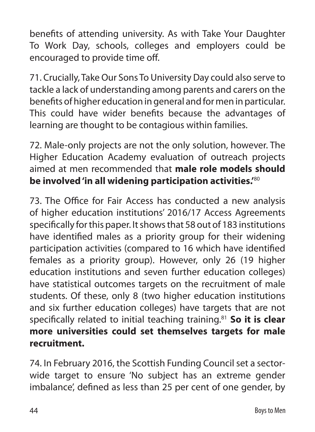benefits of attending university. As with Take Your Daughter To Work Day, schools, colleges and employers could be encouraged to provide time off.

71. Crucially, Take Our Sons To University Day could also serve to tackle a lack of understanding among parents and carers on the benefits of higher education in general and for men in particular. This could have wider benefits because the advantages of learning are thought to be contagious within families.

72. Male-only projects are not the only solution, however. The Higher Education Academy evaluation of outreach projects aimed at men recommended that **male role models should be involved 'in all widening participation activities.'**<sup>80</sup>

73. The Office for Fair Access has conducted a new analysis of higher education institutions' 2016/17 Access Agreements specifically for this paper. It shows that 58 out of 183 institutions have identified males as a priority group for their widening participation activities (compared to 16 which have identified females as a priority group). However, only 26 (19 higher education institutions and seven further education colleges) have statistical outcomes targets on the recruitment of male students. Of these, only 8 (two higher education institutions and six further education colleges) have targets that are not specifically related to initial teaching training.81 **So it is clear more universities could set themselves targets for male recruitment.**

74. In February 2016, the Scottish Funding Council set a sectorwide target to ensure 'No subject has an extreme gender imbalance', defined as less than 25 per cent of one gender, by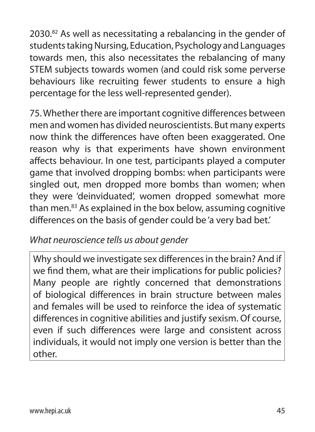2030.<sup>82</sup> As well as necessitating a rebalancing in the gender of students taking Nursing, Education, Psychology and Languages towards men, this also necessitates the rebalancing of many STEM subjects towards women (and could risk some perverse behaviours like recruiting fewer students to ensure a high percentage for the less well-represented gender).

75. Whether there are important cognitive differences between men and women has divided neuroscientists. But many experts now think the differences have often been exaggerated. One reason why is that experiments have shown environment affects behaviour. In one test, participants played a computer game that involved dropping bombs: when participants were singled out, men dropped more bombs than women; when they were 'deinviduated', women dropped somewhat more than men.83 As explained in the box below, assuming cognitive differences on the basis of gender could be 'a very bad bet.'

### *What neuroscience tells us about gender*

Why should we investigate sex differences in the brain? And if we find them, what are their implications for public policies? Many people are rightly concerned that demonstrations of biological differences in brain structure between males and females will be used to reinforce the idea of systematic differences in cognitive abilities and justify sexism. Of course, even if such differences were large and consistent across individuals, it would not imply one version is better than the other.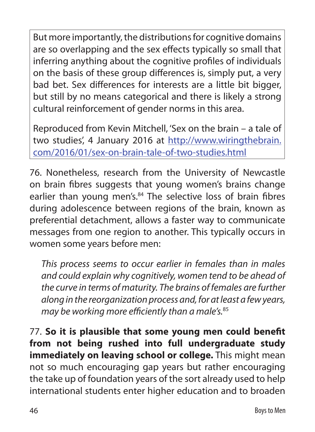But more importantly, the distributions for cognitive domains are so overlapping and the sex effects typically so small that inferring anything about the cognitive profiles of individuals on the basis of these group differences is, simply put, a very bad bet. Sex differences for interests are a little bit bigger, but still by no means categorical and there is likely a strong cultural reinforcement of gender norms in this area.

Reproduced from Kevin Mitchell, 'Sex on the brain – a tale of two studies', 4 January 2016 at http://www.wiringthebrain. com/2016/01/sex-on-brain-tale-of-two-studies.html

76. Nonetheless, research from the University of Newcastle on brain fibres suggests that young women's brains change earlier than young men's.<sup>84</sup> The selective loss of brain fibres during adolescence between regions of the brain, known as preferential detachment, allows a faster way to communicate messages from one region to another. This typically occurs in women some years before men:

 *This process seems to occur earlier in females than in males and could explain why cognitively, women tend to be ahead of the curve in terms of maturity. The brains of females are further along in the reorganization process and, for at least a few years, may be working more efficiently than a male's.*<sup>85</sup>

77. **So it is plausible that some young men could benefit from not being rushed into full undergraduate study immediately on leaving school or college.** This might mean not so much encouraging gap years but rather encouraging the take up of foundation years of the sort already used to help international students enter higher education and to broaden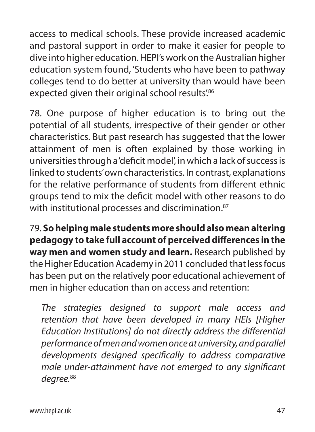access to medical schools. These provide increased academic and pastoral support in order to make it easier for people to dive into higher education. HEPI's work on the Australian higher education system found, 'Students who have been to pathway colleges tend to do better at university than would have been expected given their original school results'.<sup>86</sup>

78. One purpose of higher education is to bring out the potential of all students, irrespective of their gender or other characteristics. But past research has suggested that the lower attainment of men is often explained by those working in universities through a 'deficit model', in which a lack of success is linked to students' own characteristics. In contrast, explanations for the relative performance of students from different ethnic groups tend to mix the deficit model with other reasons to do with institutional processes and discrimination.<sup>87</sup>

79. **So helping male students more should also mean altering pedagogy to take full account of perceived differences in the way men and women study and learn.** Research published by the Higher Education Academy in 2011 concluded that less focus has been put on the relatively poor educational achievement of men in higher education than on access and retention:

 *The strategies designed to support male access and retention that have been developed in many HEIs [Higher Education Institutions] do not directly address the differential performance of men and women once at university, and parallel developments designed specifically to address comparative male under-attainment have not emerged to any significant degree.*88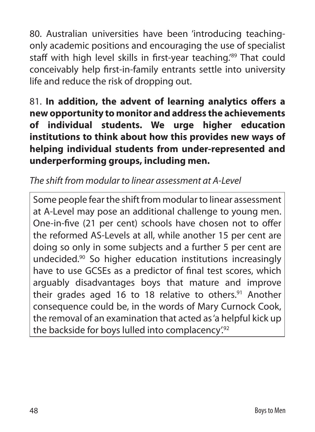80. Australian universities have been 'introducing teachingonly academic positions and encouraging the use of specialist staff with high level skills in first-year teaching.<sup>'89</sup> That could conceivably help first-in-family entrants settle into university life and reduce the risk of dropping out.

81. **In addition, the advent of learning analytics offers a new opportunity to monitor and address the achievements of individual students. We urge higher education institutions to think about how this provides new ways of helping individual students from under-represented and underperforming groups, including men.**

### *The shift from modular to linear assessment at A-Level*

Some people fear the shift from modular to linear assessment at A-Level may pose an additional challenge to young men. One-in-five (21 per cent) schools have chosen not to offer the reformed AS-Levels at all, while another 15 per cent are doing so only in some subjects and a further 5 per cent are undecided.90 So higher education institutions increasingly have to use GCSEs as a predictor of final test scores, which arguably disadvantages boys that mature and improve their grades aged 16 to 18 relative to others. $91$  Another consequence could be, in the words of Mary Curnock Cook, the removal of an examination that acted as 'a helpful kick up the backside for boys lulled into complacency.<sup>92</sup>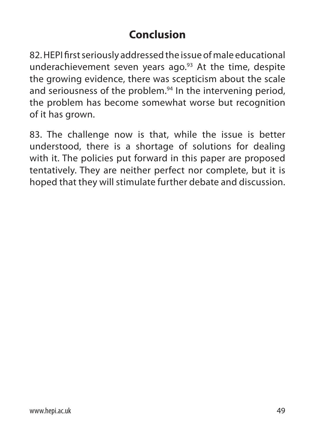# **Conclusion**

82. HEPI first seriously addressed the issue of male educational underachievement seven years ago. $93$  At the time, despite the growing evidence, there was scepticism about the scale and seriousness of the problem.<sup>94</sup> In the intervening period, the problem has become somewhat worse but recognition of it has grown.

83. The challenge now is that, while the issue is better understood, there is a shortage of solutions for dealing with it. The policies put forward in this paper are proposed tentatively. They are neither perfect nor complete, but it is hoped that they will stimulate further debate and discussion.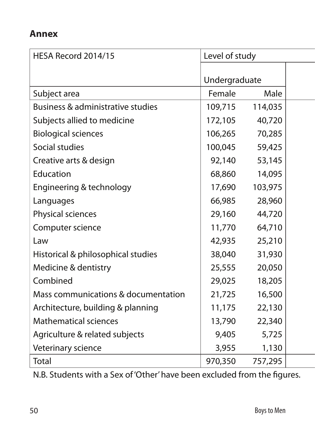#### **Annex**

| HESA Record 2014/15                 | Level of study |         |  |
|-------------------------------------|----------------|---------|--|
|                                     | Undergraduate  |         |  |
| Subject area                        | Female         | Male    |  |
| Business & administrative studies   | 109,715        | 114,035 |  |
| Subjects allied to medicine         | 172,105        | 40,720  |  |
| <b>Biological sciences</b>          | 106,265        | 70,285  |  |
| Social studies                      | 100,045        | 59,425  |  |
| Creative arts & design              | 92,140         | 53,145  |  |
| Education                           | 68,860         | 14,095  |  |
| Engineering & technology            | 17,690         | 103,975 |  |
| Languages                           | 66,985         | 28,960  |  |
| Physical sciences                   | 29,160         | 44,720  |  |
| Computer science                    | 11,770         | 64,710  |  |
| Law                                 | 42,935         | 25,210  |  |
| Historical & philosophical studies  | 38,040         | 31,930  |  |
| Medicine & dentistry                | 25,555         | 20,050  |  |
| Combined                            | 29,025         | 18,205  |  |
| Mass communications & documentation | 21,725         | 16,500  |  |
| Architecture, building & planning   | 11,175         | 22,130  |  |
| <b>Mathematical sciences</b>        | 13,790         | 22,340  |  |
| Agriculture & related subjects      | 9,405          | 5,725   |  |
| Veterinary science                  | 3,955          | 1,130   |  |
| Total                               | 970,350        | 757,295 |  |

N.B. Students with a Sex of 'Other' have been excluded from the figures.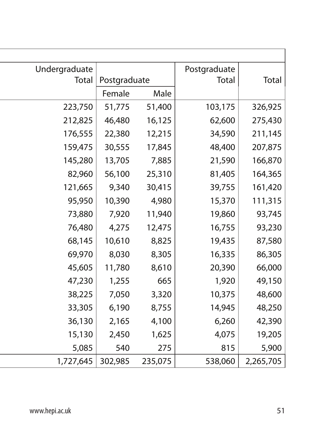| Undergraduate |              |         | Postgraduate |           |
|---------------|--------------|---------|--------------|-----------|
| Total         | Postgraduate |         | Total        | Total     |
|               | Female       | Male    |              |           |
| 223,750       | 51,775       | 51,400  | 103,175      | 326,925   |
| 212,825       | 46,480       | 16,125  | 62,600       | 275,430   |
| 176,555       | 22,380       | 12,215  | 34,590       | 211,145   |
| 159,475       | 30,555       | 17,845  | 48,400       | 207,875   |
| 145,280       | 13,705       | 7,885   | 21,590       | 166,870   |
| 82,960        | 56,100       | 25,310  | 81,405       | 164,365   |
| 121,665       | 9,340        | 30,415  | 39,755       | 161,420   |
| 95,950        | 10,390       | 4,980   | 15,370       | 111,315   |
| 73,880        | 7,920        | 11,940  | 19,860       | 93,745    |
| 76,480        | 4,275        | 12,475  | 16,755       | 93,230    |
| 68,145        | 10,610       | 8,825   | 19,435       | 87,580    |
| 69,970        | 8,030        | 8,305   | 16,335       | 86,305    |
| 45,605        | 11,780       | 8,610   | 20,390       | 66,000    |
| 47,230        | 1,255        | 665     | 1,920        | 49,150    |
| 38,225        | 7,050        | 3,320   | 10,375       | 48,600    |
| 33,305        | 6,190        | 8,755   | 14,945       | 48,250    |
| 36,130        | 2,165        | 4,100   | 6,260        | 42,390    |
| 15,130        | 2,450        | 1,625   | 4,075        | 19,205    |
| 5,085         | 540          | 275     | 815          | 5,900     |
| 1,727,645     | 302,985      | 235,075 | 538,060      | 2,265,705 |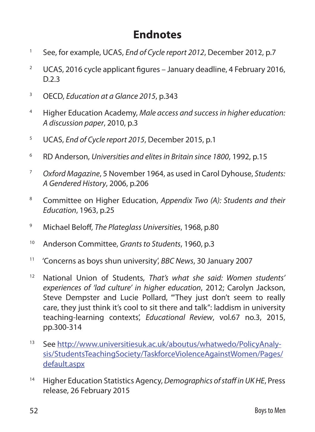# **Endnotes**

- 1 See, for example, UCAS, *End of Cycle report 2012*, December 2012, p.7
- <sup>2</sup> UCAS, 2016 cycle applicant figures January deadline, 4 February 2016, D.2.3
- 3 OECD, *Education at a Glance 2015*, p.343
- <sup>4</sup> Higher Education Academy, *Male access and success in higher education: A discussion paper*, 2010, p.3
- <sup>5</sup> UCAS, *End of Cycle report 2015*, December 2015, p.1
- <sup>6</sup> RD Anderson, *Universities and elites in Britain since 1800*, 1992, p.15
- <sup>7</sup> *Oxford Magazine*, 5 November 1964, as used in Carol Dyhouse, *Students: A Gendered History*, 2006, p.206
- <sup>8</sup> Committee on Higher Education, *Appendix Two (A): Students and their Education*, 1963, p.25
- 9 Michael Beloff, *The Plateglass Universities*, 1968, p.80
- 10 Anderson Committee, *Grants to Students*, 1960, p.3
- 11 'Concerns as boys shun university', *BBC News*, 30 January 2007
- <sup>12</sup> National Union of Students, *That's what she said: Women students' experiences of 'lad culture' in higher education*, 2012; Carolyn Jackson, Steve Dempster and Lucie Pollard, "They just don't seem to really care, they just think it's cool to sit there and talk": laddism in university teaching-learning contexts', *Educational Review*, vol.67 no.3, 2015, pp.300-314
- <sup>13</sup> See http://www.universitiesuk.ac.uk/aboutus/whatwedo/PolicyAnalysis/StudentsTeachingSociety/TaskforceViolenceAgainstWomen/Pages/ default.aspx
- <sup>14</sup> Higher Education Statistics Agency, *Demographics of staff in UK HE*, Press release, 26 February 2015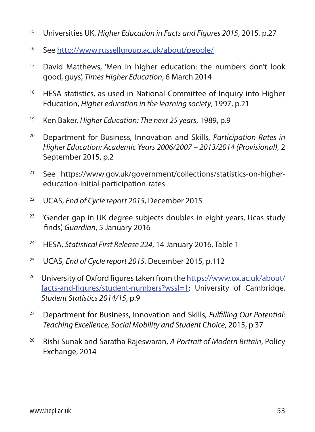- <sup>15</sup> Universities UK, *Higher Education in Facts and Figures 2015*, 2015, p.27
- <sup>16</sup> See http://www.russellgroup.ac.uk/about/people/
- <sup>17</sup> David Matthews, 'Men in higher education: the numbers don't look good, guys', *Times Higher Education*, 6 March 2014
- <sup>18</sup> HESA statistics, as used in National Committee of Inquiry into Higher Education, *Higher education in the learning society*, 1997, p.21
- <sup>19</sup> Ken Baker, *Higher Education: The next 25 years*, 1989, p.9
- <sup>20</sup> Department for Business, Innovation and Skills, *Participation Rates in Higher Education: Academic Years 2006/2007 – 2013/2014 (Provisional)*, 2 September 2015, p.2
- <sup>21</sup> See https://www.gov.uk/government/collections/statistics-on-highereducation-initial-participation-rates
- 22 UCAS, *End of Cycle report 2015*, December 2015
- $23$  'Gender gap in UK degree subjects doubles in eight years, Ucas study finds', *Guardian*, 5 January 2016
- 24 HESA, *Statistical First Release 224*, 14 January 2016, Table 1
- <sup>25</sup> UCAS, *End of Cycle report 2015*, December 2015, p.112
- 26 University of Oxford figures taken from the https://www.ox.ac.uk/about/ facts-and-figures/student-numbers?wssl=1; University of Cambridge, *Student Statistics 2014/15*, p.9
- <sup>27</sup> Department for Business, Innovation and Skills, *Fulfilling Our Potential: Teaching Excellence, Social Mobility and Student Choice*, 2015, p.37
- <sup>28</sup> Rishi Sunak and Saratha Rajeswaran, *A Portrait of Modern Britain*, Policy Exchange, 2014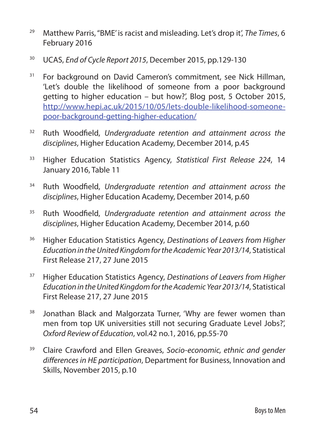- <sup>29</sup> Matthew Parris, ''BME' is racist and misleading. Let's drop it', *The Times*, 6 February 2016
- 30 UCAS, *End of Cycle Report 2015*, December 2015, pp.129-130
- <sup>31</sup> For background on David Cameron's commitment, see Nick Hillman, 'Let's double the likelihood of someone from a poor background getting to higher education – but how?', Blog post, 5 October 2015, http://www.hepi.ac.uk/2015/10/05/lets-double-likelihood-someonepoor-background-getting-higher-education/
- <sup>32</sup> Ruth Woodfield, *Undergraduate retention and attainment across the disciplines*, Higher Education Academy, December 2014, p.45
- <sup>33</sup> Higher Education Statistics Agency, *Statistical First Release 224*, 14 January 2016, Table 11
- <sup>34</sup> Ruth Woodfield, *Undergraduate retention and attainment across the disciplines*, Higher Education Academy, December 2014, p.60
- <sup>35</sup> Ruth Woodfield, *Undergraduate retention and attainment across the disciplines*, Higher Education Academy, December 2014, p.60
- <sup>36</sup> Higher Education Statistics Agency, *Destinations of Leavers from Higher Education in the United Kingdom for the Academic Year 2013/14*, Statistical First Release 217, 27 June 2015
- <sup>37</sup> Higher Education Statistics Agency, *Destinations of Leavers from Higher Education in the United Kingdom for the Academic Year 2013/14*, Statistical First Release 217, 27 June 2015
- <sup>38</sup> Jonathan Black and Malgorzata Turner, 'Why are fewer women than men from top UK universities still not securing Graduate Level Jobs?', *Oxford Review of Education*, vol.42 no.1, 2016, pp.55-70
- <sup>39</sup> Claire Crawford and Ellen Greaves, *Socio-economic, ethnic and gender differences in HE participation*, Department for Business, Innovation and Skills, November 2015, p.10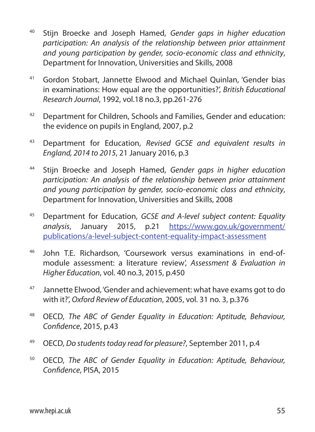- <sup>40</sup> Stijn Broecke and Joseph Hamed, *Gender gaps in higher education participation: An analysis of the relationship between prior attainment and young participation by gender, socio-economic class and ethnicity*, Department for Innovation, Universities and Skills, 2008
- <sup>41</sup> Gordon Stobart, Jannette Elwood and Michael Quinlan, 'Gender bias in examinations: How equal are the opportunities?', *British Educational Research Journal*, 1992, vol.18 no.3, pp.261-276
- <sup>42</sup> Department for Children, Schools and Families, Gender and education: the evidence on pupils in England, 2007, p.2
- <sup>43</sup> Department for Education, *Revised GCSE and equivalent results in England, 2014 to 2015*, 21 January 2016, p.3
- <sup>44</sup> Stijn Broecke and Joseph Hamed, *Gender gaps in higher education participation: An analysis of the relationship between prior attainment and young participation by gender, socio-economic class and ethnicity*, Department for Innovation, Universities and Skills, 2008
- <sup>45</sup> Department for Education, *GCSE and A-level subject content: Equality analysis*, January 2015, p.21 https://www.gov.uk/government/ publications/a-level-subject-content-equality-impact-assessment
- <sup>46</sup> John T.E. Richardson, 'Coursework versus examinations in end-ofmodule assessment: a literature review', *Assessment & Evaluation in Higher Education*, vol. 40 no.3, 2015, p.450
- <sup>47</sup> Jannette Elwood, 'Gender and achievement: what have exams got to do with it?', *Oxford Review of Education*, 2005, vol. 31 no. 3, p.376
- <sup>48</sup> OECD, *The ABC of Gender Equality in Education: Aptitude, Behaviour, Confidence*, 2015, p.43
- 49 OECD, *Do students today read for pleasure?*, September 2011, p.4
- <sup>50</sup> OECD, *The ABC of Gender Equality in Education: Aptitude, Behaviour, Confidence*, PISA, 2015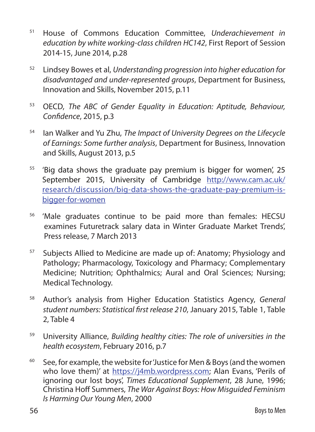- <sup>51</sup> House of Commons Education Committee, *Underachievement in education by white working-class children HC142*, First Report of Session 2014-15, June 2014, p.28
- <sup>52</sup> Lindsey Bowes et al, *Understanding progression into higher education for disadvantaged and under-represented groups*, Department for Business, Innovation and Skills, November 2015, p.11
- <sup>53</sup> OECD, *The ABC of Gender Equality in Education: Aptitude, Behaviour, Confidence*, 2015, p.3
- <sup>54</sup> Ian Walker and Yu Zhu, *The Impact of University Degrees on the Lifecycle of Earnings: Some further analysis*, Department for Business, Innovation and Skills, August 2013, p.5
- $55$  'Big data shows the graduate pay premium is bigger for women', 25 September 2015, University of Cambridge http://www.cam.ac.uk/ research/discussion/big-data-shows-the-graduate-pay-premium-isbigger-for-women
- 56 'Male graduates continue to be paid more than females: HECSU examines Futuretrack salary data in Winter Graduate Market Trends', Press release, 7 March 2013
- <sup>57</sup> Subjects Allied to Medicine are made up of: Anatomy; Physiology and Pathology; Pharmacology, Toxicology and Pharmacy; Complementary Medicine; Nutrition; Ophthalmics; Aural and Oral Sciences; Nursing; Medical Technology.
- <sup>58</sup> Author's analysis from Higher Education Statistics Agency, *General student numbers: Statistical first release 210*, January 2015, Table 1, Table 2, Table 4
- <sup>59</sup> University Alliance, *Building healthy cities: The role of universities in the health ecosystem*, February 2016, p.7
- $60$  See, for example, the website for 'Justice for Men & Boys (and the women who love them)' at https://j4mb.wordpress.com; Alan Evans, 'Perils of ignoring our lost boys', *Times Educational Supplement*, 28 June, 1996; Christina Hoff Summers, *The War Against Boys: How Misguided Feminism Is Harming Our Young Men*, 2000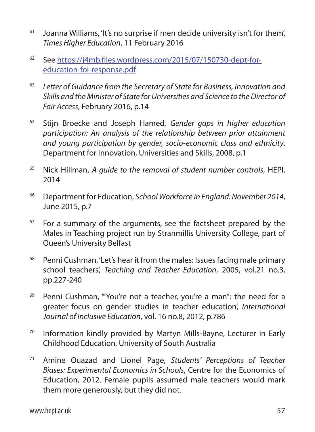- $61$  Joanna Williams, 'It's no surprise if men decide university isn't for them', *Times Higher Education*, 11 February 2016
- <sup>62</sup> See https://j4mb.files.wordpress.com/2015/07/150730-dept-foreducation-foi-response.pdf
- <sup>63</sup> *Letter of Guidance from the Secretary of State for Business, Innovation and Skills and the Minister of State for Universities and Science to the Director of Fair Access*, February 2016, p.14
- <sup>64</sup> Stijn Broecke and Joseph Hamed, *Gender gaps in higher education participation: An analysis of the relationship between prior attainment and young participation by gender, socio-economic class and ethnicity*, Department for Innovation, Universities and Skills, 2008, p.1
- <sup>65</sup> Nick Hillman, *A guide to the removal of student number controls*, HEPI, 2014
- <sup>66</sup> Department for Education, *School Workforce in England: November 2014*, June 2015, p.7
- $67$  For a summary of the arguments, see the factsheet prepared by the Males in Teaching project run by Stranmillis University College, part of Queen's University Belfast
- <sup>68</sup> Penni Cushman, 'Let's hear it from the males: Issues facing male primary school teachers', *Teaching and Teacher Education*, 2005, vol.21 no.3, pp.227-240
- <sup>69</sup> Penni Cushman, "'You're not a teacher, you're a man": the need for a greater focus on gender studies in teacher education', *International Journal of Inclusive Education*, vol. 16 no.8, 2012, p.786
- <sup>70</sup> Information kindly provided by Martyn Mills-Bayne, Lecturer in Early Childhood Education, University of South Australia
- <sup>71</sup> Amine Ouazad and Lionel Page, *Students' Perceptions of Teacher Biases: Experimental Economics in Schools*, Centre for the Economics of Education, 2012. Female pupils assumed male teachers would mark them more generously, but they did not.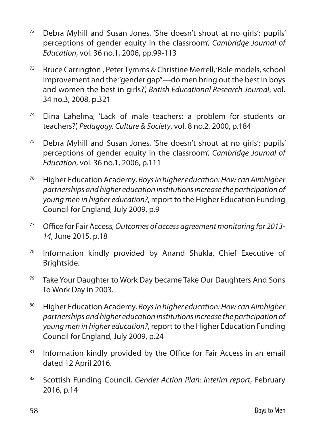- <sup>72</sup> Debra Myhill and Susan Jones, 'She doesn't shout at no girls': pupils' perceptions of gender equity in the classroom', *Cambridge Journal of Education*, vol. 36 no.1, 2006, pp.99-113
- <sup>73</sup> Bruce Carrington , Peter Tymms & Christine Merrell, 'Role models, school improvement and the "gender gap"—do men bring out the best in boys and women the best in girls?', *British Educational Research Journal*, vol. 34 no.3, 2008, p.321
- <sup>74</sup> Elina Lahelma, 'Lack of male teachers: a problem for students or teachers?', *Pedagogy, Culture & Society*, vol. 8 no.2, 2000, p.184
- <sup>75</sup> Debra Myhill and Susan Jones, 'She doesn't shout at no girls': pupils' perceptions of gender equity in the classroom', *Cambridge Journal of Education*, vol. 36 no.1, 2006, p.111
- <sup>76</sup> Higher Education Academy, *Boys in higher education: How can Aimhigher partnerships and higher education institutions increase the participation of young men in higher education?*, report to the Higher Education Funding Council for England, July 2009, p.9
- <sup>77</sup> Office for Fair Access, *Outcomes of access agreement monitoring for 2013- 14*, June 2015, p.18
- <sup>78</sup> Information kindly provided by Anand Shukla, Chief Executive of Brightside.
- <sup>79</sup> Take Your Daughter to Work Day became Take Our Daughters And Sons To Work Day in 2003.
- <sup>80</sup> Higher Education Academy, *Boys in higher education: How can Aimhigher partnerships and higher education institutions increase the participation of young men in higher education?*, report to the Higher Education Funding Council for England, July 2009, p.24
- 81 Information kindly provided by the Office for Fair Access in an email dated 12 April 2016.
- <sup>82</sup> Scottish Funding Council, *Gender Action Plan: Interim report*, February 2016, p.14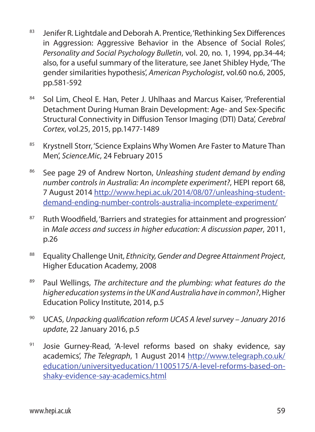- 83 Jenifer R. Lightdale and Deborah A. Prentice, 'Rethinking Sex Differences in Aggression: Aggressive Behavior in the Absence of Social Roles', *Personality and Social Psychology Bulletin*, vol. 20, no. 1, 1994, pp.34-44; also, for a useful summary of the literature, see Janet Shibley Hyde, 'The gender similarities hypothesis', *American Psychologist*, vol.60 no.6, 2005, pp.581-592
- 84 Sol Lim, Cheol E. Han, Peter J. Uhlhaas and Marcus Kaiser, 'Preferential Detachment During Human Brain Development: Age- and Sex-Specific Structural Connectivity in Diffusion Tensor Imaging (DTI) Data', *Cerebral Cortex*, vol.25, 2015, pp.1477-1489
- <sup>85</sup> Krystnell Storr, 'Science Explains Why Women Are Faster to Mature Than Men', *Science.Mic*, 24 February 2015
- <sup>86</sup> See page 29 of Andrew Norton, *Unleashing student demand by ending number controls in Australia: An incomplete experiment?*, HEPI report 68, 7 August 2014 http://www.hepi.ac.uk/2014/08/07/unleashing-studentdemand-ending-number-controls-australia-incomplete-experiment/
- 87 Ruth Woodfield, 'Barriers and strategies for attainment and progression' in *Male access and success in higher education: A discussion paper*, 2011, p.26
- <sup>88</sup> Equality Challenge Unit, *Ethnicity, Gender and Degree Attainment Project*, Higher Education Academy, 2008
- <sup>89</sup> Paul Wellings, *The architecture and the plumbing: what features do the higher education systems in the UK and Australia have in common?*, Higher Education Policy Institute, 2014, p.5
- <sup>90</sup> UCAS, *Unpacking qualification reform UCAS A level survey January 2016 update*, 22 January 2016, p.5
- 91 Josie Gurney-Read, 'A-level reforms based on shaky evidence, say academics', *The Telegraph*, 1 August 2014 http://www.telegraph.co.uk/ education/universityeducation/11005175/A-level-reforms-based-onshaky-evidence-say-academics.html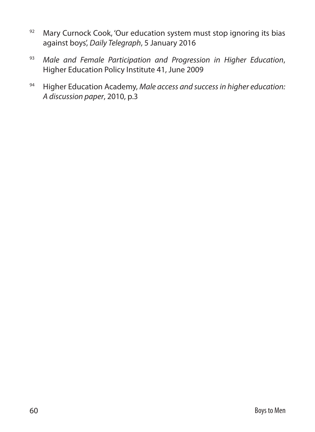- 92 Mary Curnock Cook, 'Our education system must stop ignoring its bias against boys', *Daily Telegraph*, 5 January 2016
- <sup>93</sup> *Male and Female Participation and Progression in Higher Education*, Higher Education Policy Institute 41, June 2009
- <sup>94</sup> Higher Education Academy, *Male access and success in higher education: A discussion paper*, 2010, p.3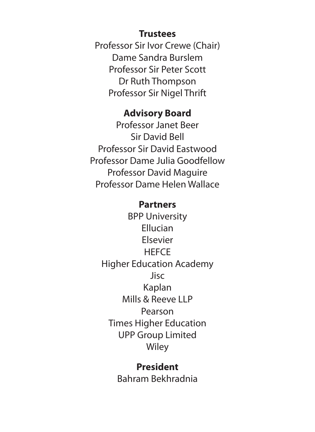#### **Trustees**

Professor Sir Ivor Crewe (Chair) Dame Sandra Burslem Professor Sir Peter Scott Dr Ruth Thompson Professor Sir Nigel Thrift

#### **Advisory Board**

Professor Janet Beer Sir David Bell Professor Sir David Eastwood Professor Dame Julia Goodfellow Professor David Maguire Professor Dame Helen Wallace

#### **Partners**

BPP University Ellucian Elsevier **HEFCE** Higher Education Academy Jisc Kaplan Mills & Reeve LLP Pearson Times Higher Education UPP Group Limited **Wiley** 

### **President** Bahram Bekhradnia